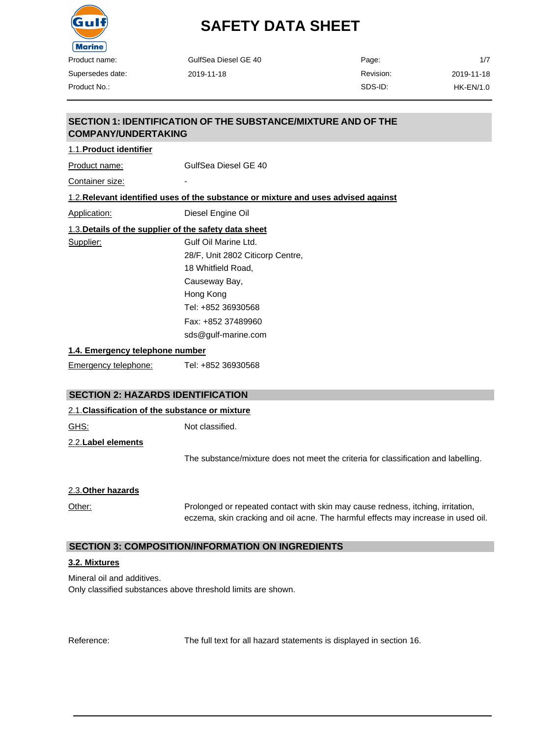

| <b>Marine</b>                   |                                                                                    |           |                  |  |
|---------------------------------|------------------------------------------------------------------------------------|-----------|------------------|--|
| Product name:                   | GulfSea Diesel GE 40                                                               | Page:     | 1/7              |  |
| Supersedes date:                | 2019-11-18                                                                         | Revision: | 2019-11-18       |  |
| Product No.:                    |                                                                                    | SDS-ID:   | <b>HK-EN/1.0</b> |  |
|                                 |                                                                                    |           |                  |  |
| <b>COMPANY/UNDERTAKING</b>      | <b>SECTION 1: IDENTIFICATION OF THE SUBSTANCE/MIXTURE AND OF THE</b>               |           |                  |  |
| 1.1. Product identifier         |                                                                                    |           |                  |  |
| Product name:                   | GulfSea Diesel GE 40                                                               |           |                  |  |
| Container size:                 |                                                                                    |           |                  |  |
|                                 | 1.2. Relevant identified uses of the substance or mixture and uses advised against |           |                  |  |
| <b>Application:</b>             | Diesel Engine Oil                                                                  |           |                  |  |
|                                 | 1.3. Details of the supplier of the safety data sheet                              |           |                  |  |
| Supplier:                       | Gulf Oil Marine Ltd.                                                               |           |                  |  |
|                                 | 28/F, Unit 2802 Citicorp Centre,                                                   |           |                  |  |
|                                 | 18 Whitfield Road.                                                                 |           |                  |  |
|                                 | Causeway Bay,                                                                      |           |                  |  |
|                                 | Hong Kong                                                                          |           |                  |  |
|                                 | Tel: +852 36930568                                                                 |           |                  |  |
|                                 | Fax: +852 37489960                                                                 |           |                  |  |
|                                 | sds@gulf-marine.com                                                                |           |                  |  |
| 1.4. Emergency telephone number |                                                                                    |           |                  |  |
| $\overline{\phantom{0}}$        |                                                                                    |           |                  |  |

Emergency telephone: Tel: +852 36930568

## **SECTION 2: HAZARDS IDENTIFICATION**

| 2.1. Classification of the substance or mixture |                                                                                                                                                                      |  |
|-------------------------------------------------|----------------------------------------------------------------------------------------------------------------------------------------------------------------------|--|
| <u>GHS:</u>                                     | Not classified.                                                                                                                                                      |  |
| 2.2. Label elements                             |                                                                                                                                                                      |  |
|                                                 | The substance/mixture does not meet the criteria for classification and labelling.                                                                                   |  |
| 2.3. Other hazards                              |                                                                                                                                                                      |  |
| Other:                                          | Prolonged or repeated contact with skin may cause redness, itching, irritation,<br>eczema, skin cracking and oil acne. The harmful effects may increase in used oil. |  |

## **SECTION 3: COMPOSITION/INFORMATION ON INGREDIENTS**

#### **3.2. Mixtures**

Mineral oil and additives. Only classified substances above threshold limits are shown.

Reference: The full text for all hazard statements is displayed in section 16.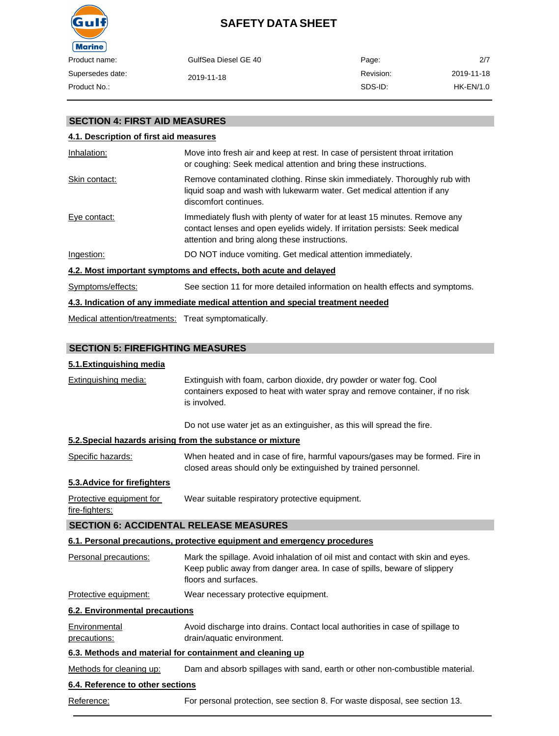

| GulfSea Diesel GE 40 | Page:     | 2/7        |
|----------------------|-----------|------------|
| 2019-11-18           | Revision: | 2019-11-18 |
|                      | SDS-ID:   | HK-EN/1.0  |
|                      |           |            |

### **SECTION 4: FIRST AID MEASURES**

## **4.1. Description of first aid measures**

| Inhalation:       | Move into fresh air and keep at rest. In case of persistent throat irritation<br>or coughing: Seek medical attention and bring these instructions.                                                          |
|-------------------|-------------------------------------------------------------------------------------------------------------------------------------------------------------------------------------------------------------|
| Skin contact:     | Remove contaminated clothing. Rinse skin immediately. Thoroughly rub with<br>liquid soap and wash with lukewarm water. Get medical attention if any<br>discomfort continues.                                |
| Eye contact:      | Immediately flush with plenty of water for at least 15 minutes. Remove any<br>contact lenses and open eyelids widely. If irritation persists: Seek medical<br>attention and bring along these instructions. |
| Ingestion:        | DO NOT induce vomiting. Get medical attention immediately.                                                                                                                                                  |
|                   | 4.2. Most important symptoms and effects, both acute and delayed                                                                                                                                            |
| Symptoms/effects: | See section 11 for more detailed information on health effects and symptoms.                                                                                                                                |
|                   | 4.3. Indication of any immediate medical attention and special treatment needed                                                                                                                             |

Medical attention/treatments: Treat symptomatically.

## **SECTION 5: FIREFIGHTING MEASURES**

## **5.1.Extinguishing media**

| Extinguishing media:                          | Extinguish with foam, carbon dioxide, dry powder or water fog. Cool<br>containers exposed to heat with water spray and remove container, if no risk<br>is involved.                 |
|-----------------------------------------------|-------------------------------------------------------------------------------------------------------------------------------------------------------------------------------------|
|                                               | Do not use water jet as an extinguisher, as this will spread the fire.                                                                                                              |
|                                               | 5.2. Special hazards arising from the substance or mixture                                                                                                                          |
| Specific hazards:                             | When heated and in case of fire, harmful vapours/gases may be formed. Fire in<br>closed areas should only be extinguished by trained personnel.                                     |
| 5.3. Advice for firefighters                  |                                                                                                                                                                                     |
| Protective equipment for<br>fire-fighters:    | Wear suitable respiratory protective equipment.                                                                                                                                     |
| <b>SECTION 6: ACCIDENTAL RELEASE MEASURES</b> |                                                                                                                                                                                     |
|                                               | 6.1. Personal precautions, protective equipment and emergency procedures                                                                                                            |
| Personal precautions:                         | Mark the spillage. Avoid inhalation of oil mist and contact with skin and eyes.<br>Keep public away from danger area. In case of spills, beware of slippery<br>floors and surfaces. |
| Protective equipment:                         | Wear necessary protective equipment.                                                                                                                                                |
| <b>6.2. Environmental precautions</b>         |                                                                                                                                                                                     |
| Environmental<br>precautions:                 | Avoid discharge into drains. Contact local authorities in case of spillage to<br>drain/aquatic environment.                                                                         |
|                                               | 6.3. Methods and material for containment and cleaning up                                                                                                                           |
| Methods for cleaning up:                      | Dam and absorb spillages with sand, earth or other non-combustible material.                                                                                                        |
| 6.4. Reference to other sections              |                                                                                                                                                                                     |
| Reference:                                    | For personal protection, see section 8. For waste disposal, see section 13.                                                                                                         |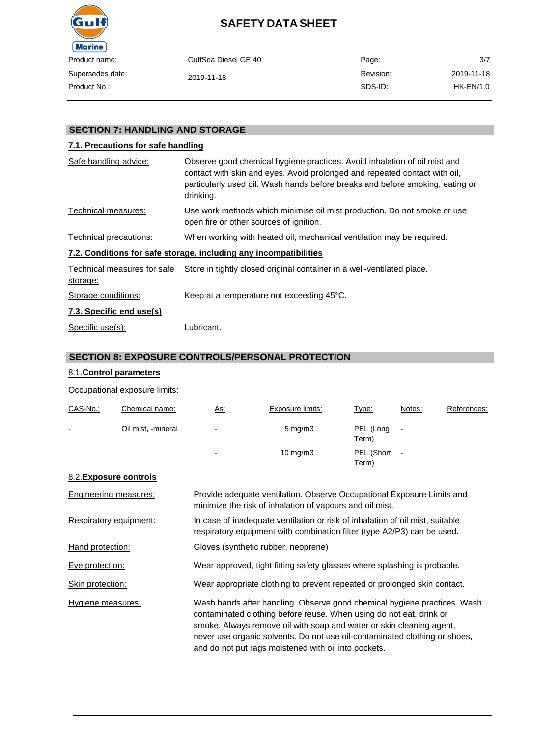

| name:     | GulfSea Diesel GE 40 | Page:     | 3/7        |
|-----------|----------------------|-----------|------------|
| des date: | 2019-11-18           | Revision: | 2019-11-18 |
| $No.$ :   |                      | SDS-ID:   | HK-EN/1.0  |

## **SECTION 7: HANDLING AND STORAGE**

### **7.1. Precautions for safe handling**

| Safe handling advice:    | Observe good chemical hygiene practices. Avoid inhalation of oil mist and<br>contact with skin and eyes. Avoid prolonged and repeated contact with oil,<br>particularly used oil. Wash hands before breaks and before smoking, eating or<br>drinking. |
|--------------------------|-------------------------------------------------------------------------------------------------------------------------------------------------------------------------------------------------------------------------------------------------------|
| Technical measures:      | Use work methods which minimise oil mist production. Do not smoke or use<br>open fire or other sources of ignition.                                                                                                                                   |
| Technical precautions:   | When working with heated oil, mechanical ventilation may be required.                                                                                                                                                                                 |
|                          | 7.2. Conditions for safe storage, including any incompatibilities                                                                                                                                                                                     |
| storage:                 | Technical measures for safe Store in tightly closed original container in a well-ventilated place.                                                                                                                                                    |
| Storage conditions:      | Keep at a temperature not exceeding 45°C.                                                                                                                                                                                                             |
| 7.3. Specific end use(s) |                                                                                                                                                                                                                                                       |
| Specific use(s):         | Lubricant.                                                                                                                                                                                                                                            |

#### **SECTION 8: EXPOSURE CONTROLS/PERSONAL PROTECTION**

#### 8.1.**Control parameters**

Occupational exposure limits:

| CAS-No.:       | Chemical name:     | As:            | Exposure limits:   | Type:               | Notes:                   | References: |
|----------------|--------------------|----------------|--------------------|---------------------|--------------------------|-------------|
| $\blacksquare$ | Oil mist, -mineral | $\blacksquare$ | $5 \text{ mg/m}$ 3 | PEL (Long<br>Term)  |                          |             |
|                |                    | $\blacksquare$ | $10 \text{ mg/m}$  | PEL (Short<br>Term) | $\overline{\phantom{a}}$ |             |

#### 8.2.**Exposure controls**

| Engineering measures:  | Provide adequate ventilation. Observe Occupational Exposure Limits and<br>minimize the risk of inhalation of vapours and oil mist.                                                                                                                                                                                                                            |
|------------------------|---------------------------------------------------------------------------------------------------------------------------------------------------------------------------------------------------------------------------------------------------------------------------------------------------------------------------------------------------------------|
| Respiratory equipment: | In case of inadequate ventilation or risk of inhalation of oil mist, suitable<br>respiratory equipment with combination filter (type A2/P3) can be used.                                                                                                                                                                                                      |
| Hand protection:       | Gloves (synthetic rubber, neoprene)                                                                                                                                                                                                                                                                                                                           |
| Eye protection:        | Wear approved, tight fitting safety glasses where splashing is probable.                                                                                                                                                                                                                                                                                      |
| Skin protection:       | Wear appropriate clothing to prevent repeated or prolonged skin contact.                                                                                                                                                                                                                                                                                      |
| Hygiene measures:      | Wash hands after handling. Observe good chemical hygiene practices. Wash<br>contaminated clothing before reuse. When using do not eat, drink or<br>smoke. Always remove oil with soap and water or skin cleaning agent,<br>never use organic solvents. Do not use oil-contaminated clothing or shoes,<br>and do not put rags moistened with oil into pockets. |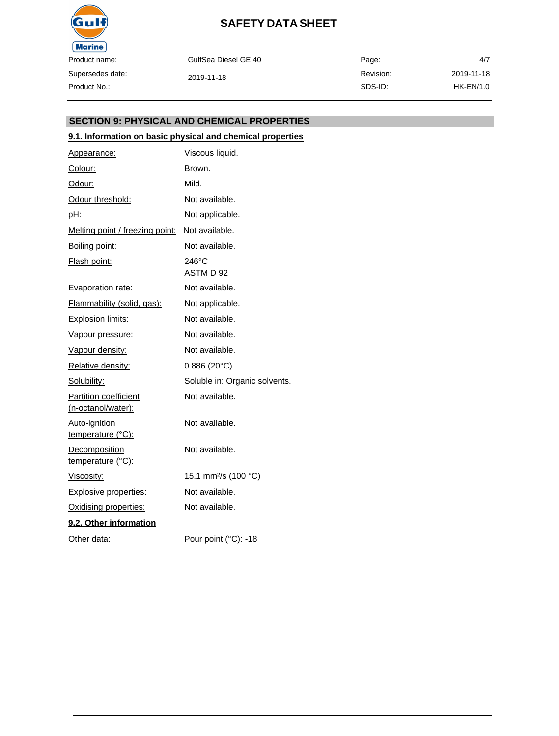

GulfSea Diesel GE 40 2019-11-18 Page: Revision: SDS-ID: 4/7 2019-11-18 HK-EN/1.0

### **SECTION 9: PHYSICAL AND CHEMICAL PROPERTIES**

#### **9.1. Information on basic physical and chemical properties**

| Appearance:                                        | Viscous liquid.                  |
|----------------------------------------------------|----------------------------------|
| Colour:                                            | Brown.                           |
| Odour:                                             | Mild.                            |
| Odour threshold:                                   | Not available.                   |
| pH:                                                | Not applicable.                  |
| Melting point / freezing point:                    | Not available.                   |
| Boiling point:                                     | Not available.                   |
| Flash point:                                       | $246^{\circ}$ C<br>ASTM D 92     |
| <b>Evaporation rate:</b>                           | Not available.                   |
| Flammability (solid, gas):                         | Not applicable.                  |
| <b>Explosion limits:</b>                           | Not available.                   |
| Vapour pressure:                                   | Not available.                   |
| Vapour density:                                    | Not available.                   |
| Relative density:                                  | $0.886(20^{\circ}C)$             |
| Solubility:                                        | Soluble in: Organic solvents.    |
| <b>Partition coefficient</b><br>(n-octanol/water): | Not available.                   |
| Auto-ignition<br>temperature (°C):                 | Not available.                   |
| <b>Decomposition</b><br>temperature (°C):          | Not available.                   |
| Viscosity:                                         | 15.1 mm <sup>2</sup> /s (100 °C) |
| <b>Explosive properties:</b>                       | Not available.                   |
| Oxidising properties:                              | Not available.                   |
| 9.2. Other information                             |                                  |
| Other data:                                        | Pour point (°C): -18             |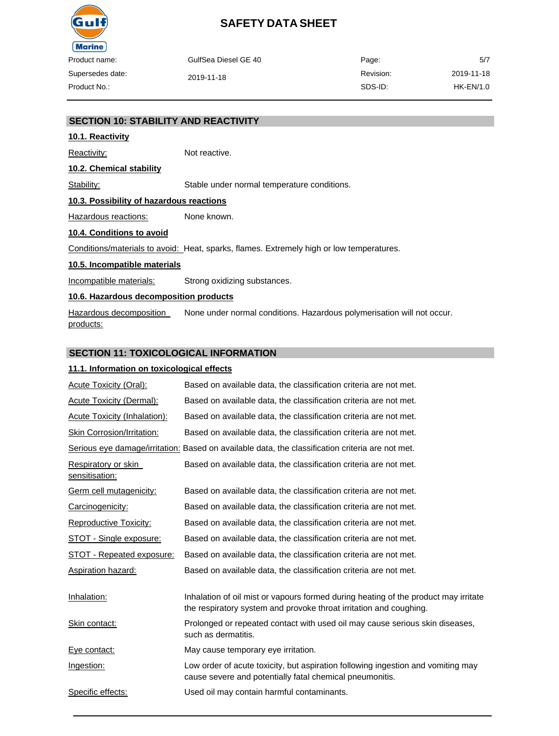

| ame:     | GulfSea Diesel GE 40 | Page:     | 5/7        |
|----------|----------------------|-----------|------------|
| es date: | 2019-11-18           | Revision: | 2019-11-18 |
| lo.:     |                      | SDS-ID:   | HK-EN/1.0  |

#### **SECTION 10: STABILITY AND REACTIVITY**

#### **10.1. Reactivity**

Reactivity: Not reactive.

#### **10.2. Chemical stability**

Stability: Stable under normal temperature conditions.

#### **10.3. Possibility of hazardous reactions**

Hazardous reactions: None known.

#### **10.4. Conditions to avoid**

Conditions/materials to avoid: Heat, sparks, flames. Extremely high or low temperatures.

#### **10.5. Incompatible materials**

Incompatible materials: Strong oxidizing substances.

#### **10.6. Hazardous decomposition products**

Hazardous decomposition products: None under normal conditions. Hazardous polymerisation will not occur.

#### **SECTION 11: TOXICOLOGICAL INFORMATION**

#### **11.1. Information on toxicological effects**

| Acute Toxicity (Oral):                | Based on available data, the classification criteria are not met.                                                                                         |
|---------------------------------------|-----------------------------------------------------------------------------------------------------------------------------------------------------------|
| <b>Acute Toxicity (Dermal):</b>       | Based on available data, the classification criteria are not met.                                                                                         |
| Acute Toxicity (Inhalation):          | Based on available data, the classification criteria are not met.                                                                                         |
| Skin Corrosion/Irritation:            | Based on available data, the classification criteria are not met.                                                                                         |
|                                       | Serious eye damage/irritation: Based on available data, the classification criteria are not met.                                                          |
| Respiratory or skin<br>sensitisation: | Based on available data, the classification criteria are not met.                                                                                         |
| Germ cell mutagenicity:               | Based on available data, the classification criteria are not met.                                                                                         |
| Carcinogenicity:                      | Based on available data, the classification criteria are not met.                                                                                         |
| Reproductive Toxicity:                | Based on available data, the classification criteria are not met.                                                                                         |
| STOT - Single exposure:               | Based on available data, the classification criteria are not met.                                                                                         |
| STOT - Repeated exposure:             | Based on available data, the classification criteria are not met.                                                                                         |
| <b>Aspiration hazard:</b>             | Based on available data, the classification criteria are not met.                                                                                         |
| Inhalation:                           | Inhalation of oil mist or vapours formed during heating of the product may irritate<br>the respiratory system and provoke throat irritation and coughing. |
| Skin contact:                         | Prolonged or repeated contact with used oil may cause serious skin diseases,<br>such as dermatitis.                                                       |
| Eye contact:                          | May cause temporary eye irritation.                                                                                                                       |
| Ingestion:                            | Low order of acute toxicity, but aspiration following ingestion and vomiting may<br>cause severe and potentially fatal chemical pneumonitis.              |
| Specific effects:                     | Used oil may contain harmful contaminants.                                                                                                                |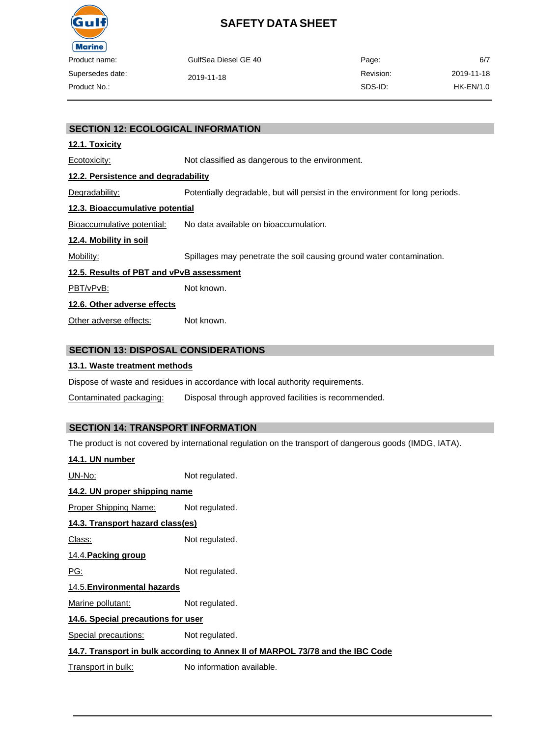

| duct name:    | GulfSea Diesel GE 40 | Page:     | 6/7        |
|---------------|----------------------|-----------|------------|
| ersedes date: | 2019-11-18           | Revision: | 2019-11-18 |
| duct No.:     |                      | SDS-ID:   | HK-EN/1.0  |
|               |                      |           |            |

#### **SECTION 12: ECOLOGICAL INFORMATION**

#### **12.1. Toxicity**

Ecotoxicity: Not classified as dangerous to the environment. **12.2. Persistence and degradability**

Degradability: Potentially degradable, but will persist in the environment for long periods.

### **12.3. Bioaccumulative potential**

Bioaccumulative potential: No data available on bioaccumulation.

#### **12.4. Mobility in soil**

Mobility: Spillages may penetrate the soil causing ground water contamination.

#### **12.5. Results of PBT and vPvB assessment**

PBT/vPvB: Not known.

#### **12.6. Other adverse effects**

Other adverse effects: Not known.

### **SECTION 13: DISPOSAL CONSIDERATIONS**

#### **13.1. Waste treatment methods**

Dispose of waste and residues in accordance with local authority requirements.

Contaminated packaging: Disposal through approved facilities is recommended.

## **SECTION 14: TRANSPORT INFORMATION**

The product is not covered by international regulation on the transport of dangerous goods (IMDG, IATA).

| 14.1. UN number                                                                |                           |  |  |  |
|--------------------------------------------------------------------------------|---------------------------|--|--|--|
| UN-No:                                                                         | Not regulated.            |  |  |  |
| 14.2. UN proper shipping name                                                  |                           |  |  |  |
| Proper Shipping Name:                                                          | Not regulated.            |  |  |  |
| 14.3. Transport hazard class(es)                                               |                           |  |  |  |
| Class:                                                                         | Not regulated.            |  |  |  |
| 14.4. Packing group                                                            |                           |  |  |  |
| <u>PG:</u>                                                                     | Not regulated.            |  |  |  |
| 14.5. Environmental hazards                                                    |                           |  |  |  |
| Marine pollutant:                                                              | Not regulated.            |  |  |  |
| 14.6. Special precautions for user                                             |                           |  |  |  |
| Special precautions:                                                           | Not regulated.            |  |  |  |
| 14.7. Transport in bulk according to Annex II of MARPOL 73/78 and the IBC Code |                           |  |  |  |
| Transport in bulk:                                                             | No information available. |  |  |  |